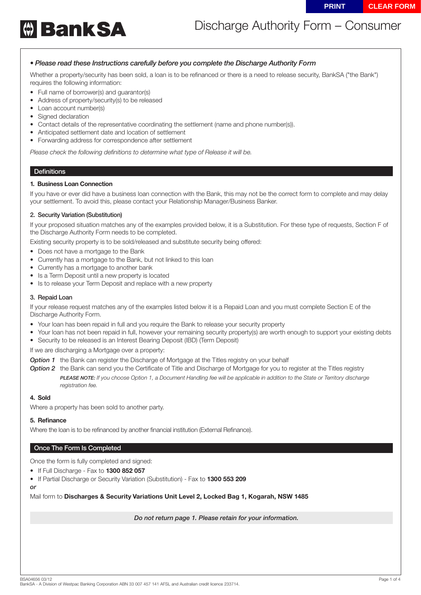

# Discharge Authority Form – Consumer

## *• Please read these Instructions carefully before you complete the Discharge Authority Form*

Whether a property/security has been sold, a loan is to be refinanced or there is a need to release security, BankSA ("the Bank") requires the following information:

- Full name of borrower(s) and guarantor(s)
- Address of property/security(s) to be released
- Loan account number(s)
- Signed declaration
- Contact details of the representative coordinating the settlement (name and phone number(s)).
- Anticipated settlement date and location of settlement
- Forwarding address for correspondence after settlement

*Please check the following definitions to determine what type of Release it will be.*

### **Definitions**

#### **1. Business Loan Connection**

If you have or ever did have a business loan connection with the Bank, this may not be the correct form to complete and may delay your settlement. To avoid this, please contact your Relationship Manager/Business Banker.

#### 2. Security Variation (Substitution)

If your proposed situation matches any of the examples provided below, it is a Substitution. For these type of requests, Section F of the Discharge Authority Form needs to be completed.

Existing security property is to be sold/released and substitute security being offered:

- Does not have a mortgage to the Bank
- Currently has a mortgage to the Bank, but not linked to this loan
- Currently has a mortgage to another bank
- Is a Term Deposit until a new property is located
- Is to release your Term Deposit and replace with a new property

#### 3. Repaid Loan

If your release request matches any of the examples listed below it is a Repaid Loan and you must complete Section E of the Discharge Authority Form.

- Your loan has been repaid in full and you require the Bank to release your security property
- Your loan has not been repaid in full, however your remaining security property(s) are worth enough to support your existing debts
- Security to be released is an Interest Bearing Deposit (IBD) (Term Deposit)

If we are discharging a Mortgage over a property:

- **Option 1** the Bank can register the Discharge of Mortgage at the Titles registry on your behalf
- **Option 2** the Bank can send you the Certificate of Title and Discharge of Mortgage for you to register at the Titles registry *PLEASE NOTE: If you choose Option 1, a Document Handling fee will be applicable in addition to the State or Territory discharge registration fee.*

#### **4. Sold**

Where a property has been sold to another party.

#### **5. Refinance**

Where the loan is to be refinanced by another financial institution (External Refinance).

#### Once The Form Is Completed

Once the form is fully completed and signed:

- If Full Discharge Fax to **1300 852 057**
- If Partial Discharge or Security Variation (Substitution) Fax to **1300 553 209**

*or*

Mail form to **Discharges & Security Variations Unit Level 2, Locked Bag 1, Kogarah, NSW 1485**

*Do not return page 1. Please retain for your information.*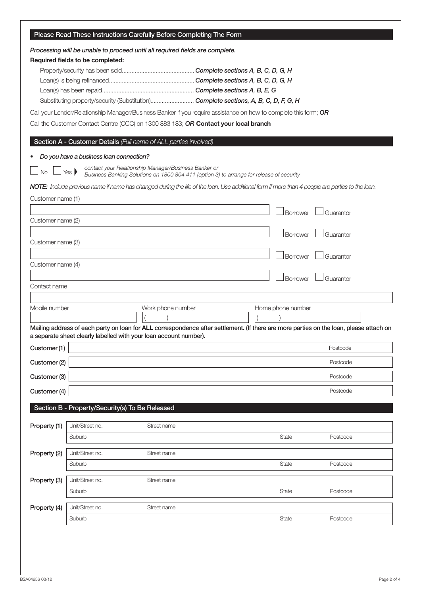|                   |                                         | Please Read These Instructions Carefully Before Completing The Form                                                                              |                                                                                                                                                 |           |  |  |
|-------------------|-----------------------------------------|--------------------------------------------------------------------------------------------------------------------------------------------------|-------------------------------------------------------------------------------------------------------------------------------------------------|-----------|--|--|
|                   | Required fields to be completed:        | Processing will be unable to proceed until all required fields are complete.                                                                     |                                                                                                                                                 |           |  |  |
|                   |                                         | Substituting property/security (Substitution) Complete sections, A, B, C, D, F, G, H                                                             |                                                                                                                                                 |           |  |  |
|                   |                                         | Call the Customer Contact Centre (CCC) on 1300 883 183; OR Contact your local branch                                                             | Call your Lender/Relationship Manager/Business Banker if you require assistance on how to complete this form; OR                                |           |  |  |
|                   |                                         | Section A - Customer Details (Full name of ALL parties involved)                                                                                 |                                                                                                                                                 |           |  |  |
|                   | Do you have a business loan connection? |                                                                                                                                                  |                                                                                                                                                 |           |  |  |
| <b>No</b>         | Yes                                     | contact your Relationship Manager/Business Banker or<br>Business Banking Solutions on 1800 804 411 (option 3) to arrange for release of security |                                                                                                                                                 |           |  |  |
|                   |                                         |                                                                                                                                                  | NOTE: Include previous name if name has changed during the life of the loan. Use additional form if more than 4 people are parties to the loan. |           |  |  |
| Customer name (1) |                                         |                                                                                                                                                  | Borrower                                                                                                                                        | Guarantor |  |  |
| Customer name (2) |                                         |                                                                                                                                                  |                                                                                                                                                 |           |  |  |
| Customer name (3) |                                         |                                                                                                                                                  | <b>Borrower</b>                                                                                                                                 | Guarantor |  |  |
|                   |                                         |                                                                                                                                                  | Borrower                                                                                                                                        | Guarantor |  |  |
| Customer name (4) |                                         |                                                                                                                                                  |                                                                                                                                                 |           |  |  |
| Contact name      |                                         |                                                                                                                                                  | Borrower                                                                                                                                        | Guarantor |  |  |
|                   |                                         |                                                                                                                                                  |                                                                                                                                                 |           |  |  |
| Mobile number     |                                         | Work phone number                                                                                                                                | Home phone number                                                                                                                               |           |  |  |
|                   |                                         | a separate sheet clearly labelled with your loan account number).                                                                                | Mailing address of each party on loan for ALL correspondence after settlement. (If there are more parties on the loan, please attach on         |           |  |  |
| Customer (1)      |                                         |                                                                                                                                                  |                                                                                                                                                 | Postcode  |  |  |
| Customer (2)      |                                         |                                                                                                                                                  |                                                                                                                                                 | Postcode  |  |  |
| Customer (3)      |                                         |                                                                                                                                                  |                                                                                                                                                 | Postcode  |  |  |
| Customer (4)      |                                         |                                                                                                                                                  |                                                                                                                                                 | Postcode  |  |  |
|                   |                                         | Section B - Property/Security(s) To Be Released                                                                                                  |                                                                                                                                                 |           |  |  |
| Property (1)      | Unit/Street no.                         | Street name                                                                                                                                      |                                                                                                                                                 |           |  |  |
|                   | Suburb                                  |                                                                                                                                                  | State                                                                                                                                           | Postcode  |  |  |
| Property (2)      | Unit/Street no.                         | Street name                                                                                                                                      |                                                                                                                                                 |           |  |  |
|                   | Suburb                                  |                                                                                                                                                  | <b>State</b>                                                                                                                                    | Postcode  |  |  |
| Property (3)      | Unit/Street no.                         | Street name                                                                                                                                      |                                                                                                                                                 |           |  |  |
|                   | Suburb                                  |                                                                                                                                                  | <b>State</b>                                                                                                                                    | Postcode  |  |  |
| Property (4)      | Unit/Street no.                         | Street name                                                                                                                                      | <b>State</b>                                                                                                                                    |           |  |  |
|                   | Suburb                                  |                                                                                                                                                  |                                                                                                                                                 | Postcode  |  |  |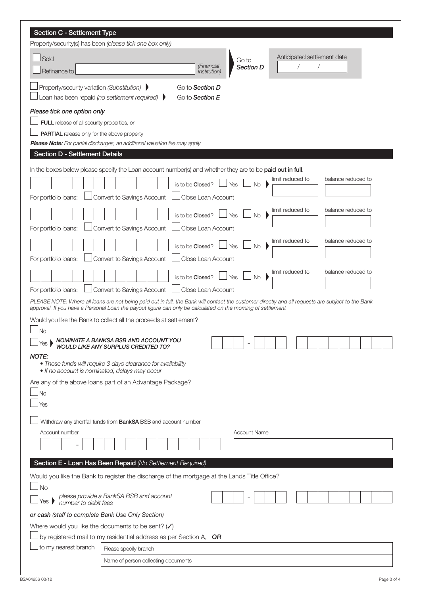| Section C - Settlement Type                                                                                                                                                                                                                                                                                                                                |  |  |  |  |  |  |
|------------------------------------------------------------------------------------------------------------------------------------------------------------------------------------------------------------------------------------------------------------------------------------------------------------------------------------------------------------|--|--|--|--|--|--|
| Property/security(s) has been (please tick one box only)                                                                                                                                                                                                                                                                                                   |  |  |  |  |  |  |
| Anticipated settlement date<br>Sold<br>Go to                                                                                                                                                                                                                                                                                                               |  |  |  |  |  |  |
| (Financial<br><b>Section D</b><br>Refinance to<br><i>Institution</i> )                                                                                                                                                                                                                                                                                     |  |  |  |  |  |  |
| Property/security variation (Substitution)<br>Go to Section D<br>Loan has been repaid (no settlement required)<br>Go to Section E                                                                                                                                                                                                                          |  |  |  |  |  |  |
| Please tick one option only<br>FULL release of all security properties, or<br><b>PARTIAL</b> release only for the above property<br><b>Please Note:</b> For partial discharges, an additional valuation fee may apply                                                                                                                                      |  |  |  |  |  |  |
| <b>Section D - Settlement Details</b>                                                                                                                                                                                                                                                                                                                      |  |  |  |  |  |  |
| In the boxes below please specify the Loan account number(s) and whether they are to be paid out in full.<br>balance reduced to<br>limit reduced to<br>is to be <b>Closed</b> ?<br>Yes<br>No<br>Convert to Savings Account<br>For portfolio loans:<br>Close Loan Account<br>limit reduced to<br>balance reduced to<br>is to be Closed?<br>Yes<br><b>No</b> |  |  |  |  |  |  |
| Close Loan Account<br>Convert to Savings Account<br>For portfolio loans:                                                                                                                                                                                                                                                                                   |  |  |  |  |  |  |
| limit reduced to<br>balance reduced to<br>is to be Closed?<br>Yes<br><b>No</b><br>Convert to Savings Account<br>Close Loan Account<br>For portfolio loans:                                                                                                                                                                                                 |  |  |  |  |  |  |
| limit reduced to<br>balance reduced to<br>is to be Closed?<br>$\Box$ Yes<br><b>No</b>                                                                                                                                                                                                                                                                      |  |  |  |  |  |  |
| Convert to Savings Account<br>Close Loan Account<br>For portfolio loans:                                                                                                                                                                                                                                                                                   |  |  |  |  |  |  |
| PLEASE NOTE: Where all loans are not being paid out in full, the Bank will contact the customer directly and all requests are subject to the Bank<br>approval. If you have a Personal Loan the payout figure can only be calculated on the morning of settlement                                                                                           |  |  |  |  |  |  |
| Would you like the Bank to collect all the proceeds at settlement?                                                                                                                                                                                                                                                                                         |  |  |  |  |  |  |
| <b>No</b><br>NOMINATE A BANKSA BSB AND ACCOUNT YOU<br>WOULD LIKE ANY SURPLUS CREDITED TO?<br>Yes $\blacktriangleright$                                                                                                                                                                                                                                     |  |  |  |  |  |  |
| <b>NOTE:</b><br>• These funds will require 3 days clearance for availability<br>. If no account is nominated, delays may occur                                                                                                                                                                                                                             |  |  |  |  |  |  |
| Are any of the above loans part of an Advantage Package?<br>No<br>Yes                                                                                                                                                                                                                                                                                      |  |  |  |  |  |  |
| Withdraw any shortfall funds from BankSA BSB and account number                                                                                                                                                                                                                                                                                            |  |  |  |  |  |  |
| Account number<br><b>Account Name</b>                                                                                                                                                                                                                                                                                                                      |  |  |  |  |  |  |
| Section E - Loan Has Been Repaid (No Settlement Required)                                                                                                                                                                                                                                                                                                  |  |  |  |  |  |  |
| Would you like the Bank to register the discharge of the mortgage at the Lands Title Office?<br>No                                                                                                                                                                                                                                                         |  |  |  |  |  |  |
| please provide a BankSA BSB and account<br>number to debit fees<br>Yes I                                                                                                                                                                                                                                                                                   |  |  |  |  |  |  |
| or cash (staff to complete Bank Use Only Section)                                                                                                                                                                                                                                                                                                          |  |  |  |  |  |  |
| Where would you like the documents to be sent? $(V)$                                                                                                                                                                                                                                                                                                       |  |  |  |  |  |  |
| by registered mail to my residential address as per Section A, OR                                                                                                                                                                                                                                                                                          |  |  |  |  |  |  |
| to my nearest branch<br>Please specify branch                                                                                                                                                                                                                                                                                                              |  |  |  |  |  |  |
| Name of person collecting documents                                                                                                                                                                                                                                                                                                                        |  |  |  |  |  |  |